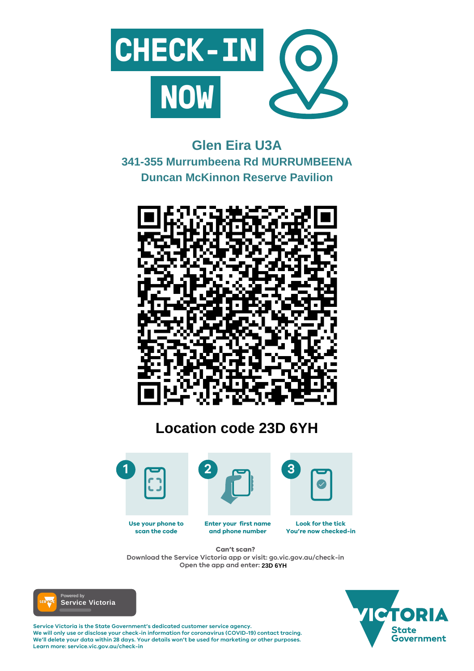

#### **Enter your first name and phone number Look for the tick You're now checked-in Use your phone to scan the code**

**Service Victoria is the State Government's dedicated customer service agency. We will only use or disclose your check-in information for coronavirus (COVID-19) contact tracing. We'll delete your data within 28 days. Your details won't be used for marketing or other purposes. Learn more: service.vic.gov.au/check-in**





## **Can't scan?**

**Download the Service Victoria app or visit: go.vic.gov.au/check-in Open the app and enter: 23D 6YH**



# **Glen Eira U3A 341-355 Murrumbeena Rd MURRUMBEENA Duncan McKinnon Reserve Pavilion**



# **Location code 23D 6YH**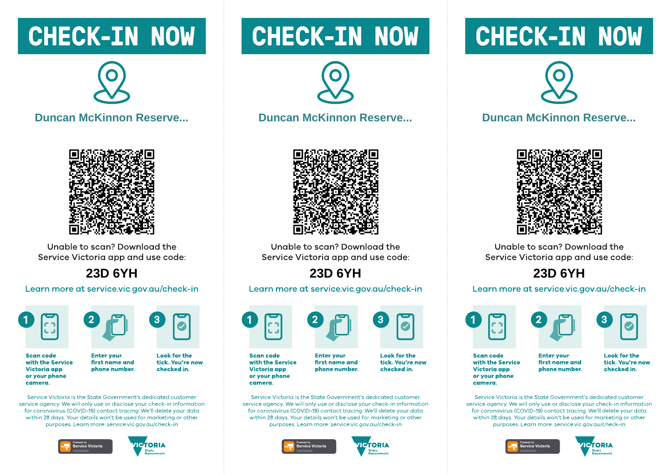## **CHECK-IN NOW**



### **Duncan McKinnon Reserve...**



Unable to scan? Download the Service Victoria app and use code:

## **23D 6YH**

#### Learn more at service.vic.gov.au/check-in





**Scan code** with the Service **Victoria app** or your phone camera.

**Look for the** tick. You're now first name and phone number. checked in.

Service Victoria is the State Government's dedicated customer service gaency. We will only use or disclose your check-in information for coronavirus (COVID-19) contact tracing. We'll delete your data within 28 days. Your details won't be used for marketing or other purposes. Learn more: service.vic.gov.gu/check-in

**Enter vour** 





## **CHECK-IN NOW**



#### **Duncan McKinnon Reserve...**



Unable to scan? Download the Service Victoria app and use code:

## 23D 6YH

#### Learn more at service.vic.gov.au/check-in



**Scan code** with the Service Victoria app or your phone camera.

**Enter vour** first name and phone number.

**Look for the** tick. You're now checked in.

Service Victoria is the State Government's dedicated customer service gaency. We will only use or disclose your check-in information for coronavirus (COVID-19) contact tracing. We'll delete your data within 28 days. Your details won't be used for marketing or other purposes. Learn more: service.vic.gov.gu/check-in





## **CHECK-IN NOW**



#### **Duncan McKinnon Reserve...**



Unable to scan? Download the Service Victoria app and use code:

## 23D 6YH

#### Learn more at service.vic.gov.au/check-in





**Scan code** with the Service Victoria app or your phone camera.

**Enter vour** first name and phone number. **Look for the** tick. You're now checked in.

Service Victoria is the State Government's dedicated customer service gaency. We will only use or disclose your check-in information for coronavirus (COVID-19) contact tracing. We'll delete your data within 28 days. Your details won't be used for marketing or other purposes. Learn more: service.vic.gov.gu/check-in